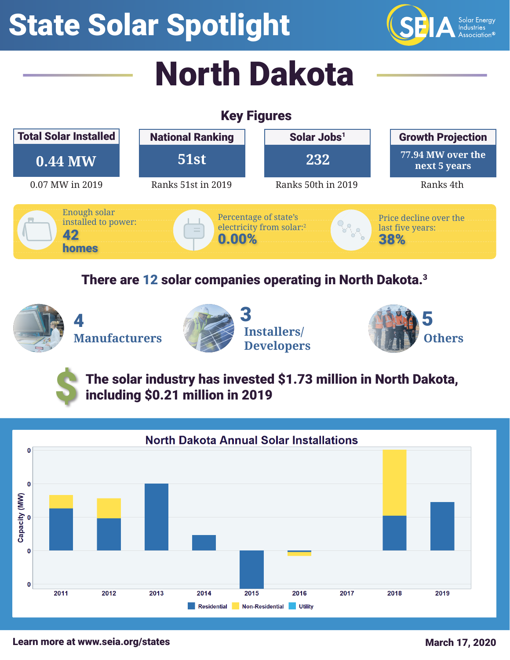## State Solar Spotlight



# North Dakota

#### Key Figures



#### There are 12 solar companies operating in North Dakota.3

**Manufacturers Installers/**





\$

The solar industry has invested \$1.73 million in North Dakota, including \$0.21 million in 2019